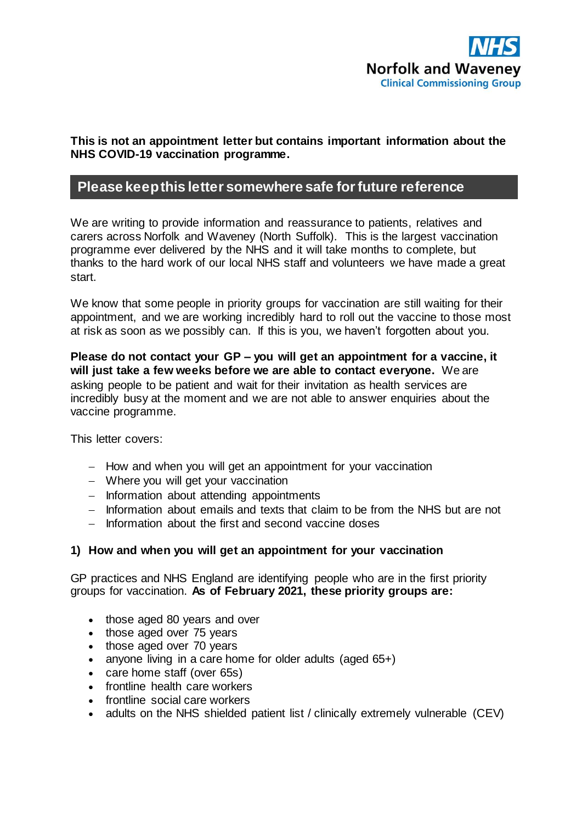

### **This is not an appointment letter but contains important information about the NHS COVID-19 vaccination programme.**

# **Please keep this letter somewhere safe for future reference**

We are writing to provide information and reassurance to patients, relatives and carers across Norfolk and Waveney (North Suffolk). This is the largest vaccination programme ever delivered by the NHS and it will take months to complete, but thanks to the hard work of our local NHS staff and volunteers we have made a great start.

We know that some people in priority groups for vaccination are still waiting for their appointment, and we are working incredibly hard to roll out the vaccine to those most at risk as soon as we possibly can. If this is you, we haven't forgotten about you.

**Please do not contact your GP – you will get an appointment for a vaccine, it will just take a few weeks before we are able to contact everyone.** We are asking people to be patient and wait for their invitation as health services are incredibly busy at the moment and we are not able to answer enquiries about the vaccine programme.

This letter covers:

- $-$  How and when you will get an appointment for your vaccination
- Where you will get your vaccination
- $-$  Information about attending appointments
- Information about emails and texts that claim to be from the NHS but are not
- $-$  Information about the first and second vaccine doses

### **1) How and when you will get an appointment for your vaccination**

GP practices and NHS England are identifying people who are in the first priority groups for vaccination. **As of February 2021, these priority groups are:**

- those aged 80 years and over
- those aged over 75 years
- those aged over 70 years
- anyone living in a care home for older adults (aged 65+)
- care home staff (over 65s)
- frontline health care workers
- frontline social care workers
- adults on the NHS shielded patient list / clinically extremely vulnerable (CEV)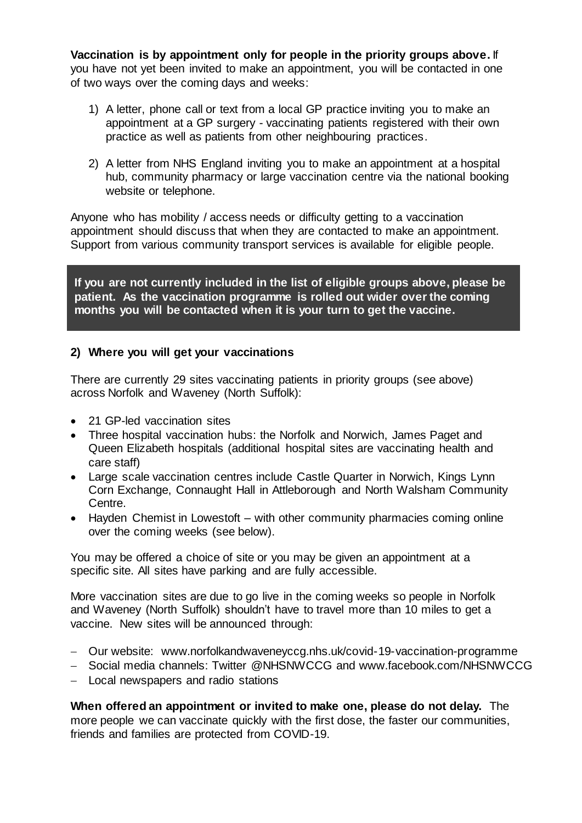**Vaccination is by appointment only for people in the priority groups above.** If you have not yet been invited to make an appointment, you will be contacted in one of two ways over the coming days and weeks:

- 1) A letter, phone call or text from a local GP practice inviting you to make an appointment at a GP surgery - vaccinating patients registered with their own practice as well as patients from other neighbouring practices.
- 2) A letter from NHS England inviting you to make an appointment at a hospital hub, community pharmacy or large vaccination centre via the national booking website or telephone.

Anyone who has mobility / access needs or difficulty getting to a vaccination appointment should discuss that when they are contacted to make an appointment. Support from various community transport services is available for eligible people.

**If you are not currently included in the list of eligible groups above, please be patient. As the vaccination programme is rolled out wider over the coming months you will be contacted when it is your turn to get the vaccine.**

### **2) Where you will get your vaccinations**

There are currently 29 sites vaccinating patients in priority groups (see above) across Norfolk and Waveney (North Suffolk):

- 21 GP-led vaccination sites
- Three hospital vaccination hubs: the Norfolk and Norwich, James Paget and Queen Elizabeth hospitals (additional hospital sites are vaccinating health and care staff)
- Large scale vaccination centres include Castle Quarter in Norwich, Kings Lynn Corn Exchange, Connaught Hall in Attleborough and North Walsham Community Centre.
- Hayden Chemist in Lowestoft with other community pharmacies coming online over the coming weeks (see below).

You may be offered a choice of site or you may be given an appointment at a specific site. All sites have parking and are fully accessible.

More vaccination sites are due to go live in the coming weeks so people in Norfolk and Waveney (North Suffolk) shouldn't have to travel more than 10 miles to get a vaccine. New sites will be announced through:

- Our website: [www.norfolkandwaveneyccg.nhs.uk/covid-19-vaccination-programme](http://www.norfolkandwaveneyccg.nhs.uk/covid-19-vaccination-programme)
- Social media channels: Twitter @NHSNWCCG and www.facebook.com/NHSNWCCG
- Local newspapers and radio stations

**When offered an appointment or invited to make one, please do not delay.** The more people we can vaccinate quickly with the first dose, the faster our communities, friends and families are protected from COVID-19.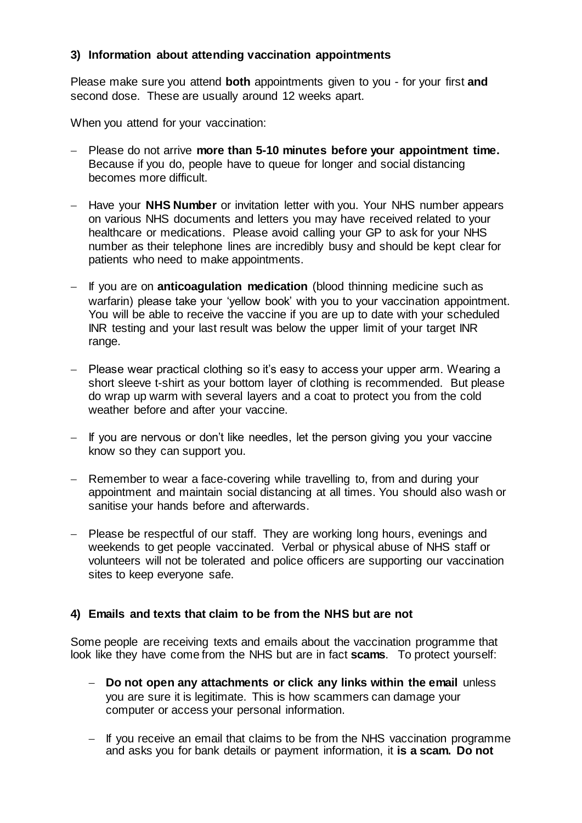## **3) Information about attending vaccination appointments**

Please make sure you attend **both** appointments given to you - for your first **and**  second dose. These are usually around 12 weeks apart.

When you attend for your vaccination:

- Please do not arrive **more than 5-10 minutes before your appointment time.** Because if you do, people have to queue for longer and social distancing becomes more difficult.
- Have your **NHS Number** or invitation letter with you. Your NHS number appears on various NHS documents and letters you may have received related to your healthcare or medications. Please avoid calling your GP to ask for your NHS number as their telephone lines are incredibly busy and should be kept clear for patients who need to make appointments.
- If you are on **anticoagulation medication** (blood thinning medicine such as warfarin) please take your 'yellow book' with you to your vaccination appointment. You will be able to receive the vaccine if you are up to date with your scheduled INR testing and your last result was below the upper limit of your target INR range.
- Please wear practical clothing so it's easy to access your upper arm. Wearing a short sleeve t-shirt as your bottom layer of clothing is recommended. But please do wrap up warm with several layers and a coat to protect you from the cold weather before and after your vaccine.
- $-$  If you are nervous or don't like needles, let the person giving you your vaccine know so they can support you.
- Remember to wear a face-covering while travelling to, from and during your appointment and maintain social distancing at all times. You should also wash or sanitise your hands before and afterwards.
- Please be respectful of our staff. They are working long hours, evenings and weekends to get people vaccinated. Verbal or physical abuse of NHS staff or volunteers will not be tolerated and police officers are supporting our vaccination sites to keep everyone safe.

### **4) Emails and texts that claim to be from the NHS but are not**

Some people are receiving texts and emails about the vaccination programme that look like they have come from the NHS but are in fact **scams**. To protect yourself:

- **Do not open any attachments or click any links within the email** unless you are sure it is legitimate. This is how scammers can damage your computer or access your personal information.
- $-$  If you receive an email that claims to be from the NHS vaccination programme and asks you for bank details or payment information, it **is a scam. Do not**